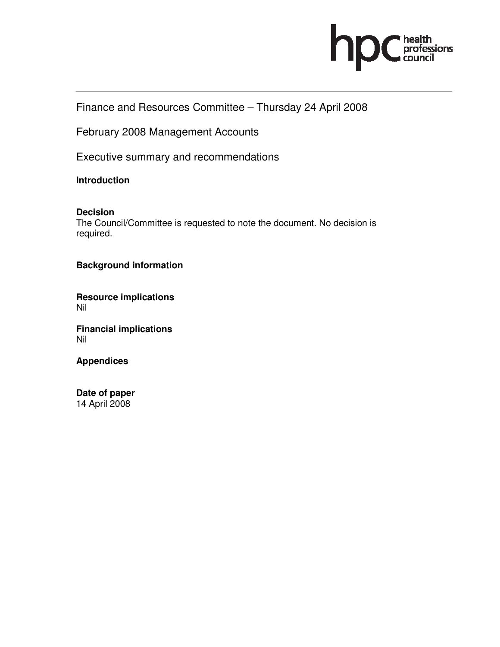

Finance and Resources Committee – Thursday 24 April 2008

February 2008 Management Accounts

Executive summary and recommendations

**Introduction** 

## **Decision**

The Council/Committee is requested to note the document. No decision is required.

## **Background information**

**Resource implications**  Nil

**Financial implications**  Nil

**Appendices** 

**Date of paper**  14 April 2008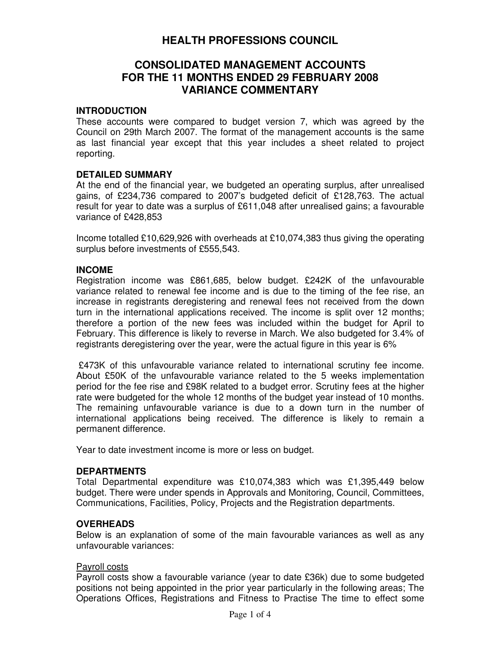# **CONSOLIDATED MANAGEMENT ACCOUNTS FOR THE 11 MONTHS ENDED 29 FEBRUARY 2008 VARIANCE COMMENTARY**

## **INTRODUCTION**

These accounts were compared to budget version 7, which was agreed by the Council on 29th March 2007. The format of the management accounts is the same as last financial year except that this year includes a sheet related to project reporting.

## **DETAILED SUMMARY**

At the end of the financial year, we budgeted an operating surplus, after unrealised gains, of £234,736 compared to 2007's budgeted deficit of £128,763. The actual result for year to date was a surplus of £611,048 after unrealised gains; a favourable variance of £428,853

Income totalled £10,629,926 with overheads at £10,074,383 thus giving the operating surplus before investments of £555,543.

## **INCOME**

Registration income was £861,685, below budget. £242K of the unfavourable variance related to renewal fee income and is due to the timing of the fee rise, an increase in registrants deregistering and renewal fees not received from the down turn in the international applications received. The income is split over 12 months; therefore a portion of the new fees was included within the budget for April to February. This difference is likely to reverse in March. We also budgeted for 3.4% of registrants deregistering over the year, were the actual figure in this year is 6%

 £473K of this unfavourable variance related to international scrutiny fee income. About £50K of the unfavourable variance related to the 5 weeks implementation period for the fee rise and £98K related to a budget error. Scrutiny fees at the higher rate were budgeted for the whole 12 months of the budget year instead of 10 months. The remaining unfavourable variance is due to a down turn in the number of international applications being received. The difference is likely to remain a permanent difference.

Year to date investment income is more or less on budget.

## **DEPARTMENTS**

Total Departmental expenditure was £10,074,383 which was £1,395,449 below budget. There were under spends in Approvals and Monitoring, Council, Committees, Communications, Facilities, Policy, Projects and the Registration departments.

## **OVERHEADS**

Below is an explanation of some of the main favourable variances as well as any unfavourable variances:

## Payroll costs

Payroll costs show a favourable variance (year to date £36k) due to some budgeted positions not being appointed in the prior year particularly in the following areas; The Operations Offices, Registrations and Fitness to Practise The time to effect some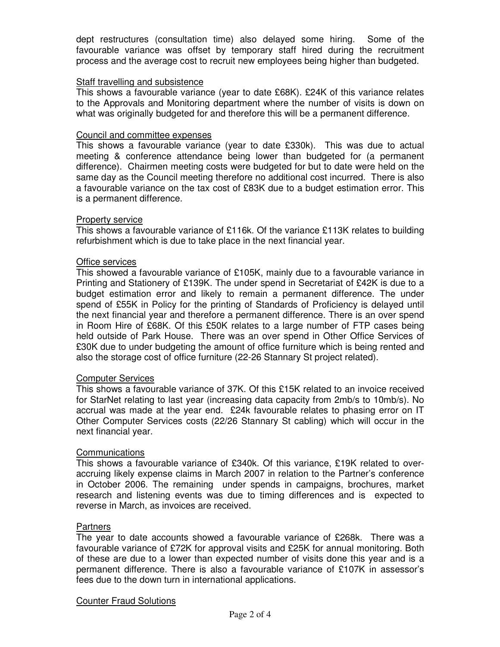dept restructures (consultation time) also delayed some hiring. Some of the favourable variance was offset by temporary staff hired during the recruitment process and the average cost to recruit new employees being higher than budgeted.

## Staff travelling and subsistence

This shows a favourable variance (year to date £68K). £24K of this variance relates to the Approvals and Monitoring department where the number of visits is down on what was originally budgeted for and therefore this will be a permanent difference.

### Council and committee expenses

This shows a favourable variance (year to date £330k). This was due to actual meeting & conference attendance being lower than budgeted for (a permanent difference). Chairmen meeting costs were budgeted for but to date were held on the same day as the Council meeting therefore no additional cost incurred. There is also a favourable variance on the tax cost of £83K due to a budget estimation error. This is a permanent difference.

### Property service

This shows a favourable variance of £116k. Of the variance £113K relates to building refurbishment which is due to take place in the next financial year.

### Office services

This showed a favourable variance of £105K, mainly due to a favourable variance in Printing and Stationery of £139K. The under spend in Secretariat of £42K is due to a budget estimation error and likely to remain a permanent difference. The under spend of £55K in Policy for the printing of Standards of Proficiency is delayed until the next financial year and therefore a permanent difference. There is an over spend in Room Hire of £68K. Of this £50K relates to a large number of FTP cases being held outside of Park House. There was an over spend in Other Office Services of £30K due to under budgeting the amount of office furniture which is being rented and also the storage cost of office furniture (22-26 Stannary St project related).

## Computer Services

This shows a favourable variance of 37K. Of this £15K related to an invoice received for StarNet relating to last year (increasing data capacity from 2mb/s to 10mb/s). No accrual was made at the year end. £24k favourable relates to phasing error on IT Other Computer Services costs (22/26 Stannary St cabling) which will occur in the next financial year.

## **Communications**

This shows a favourable variance of £340k. Of this variance, £19K related to overaccruing likely expense claims in March 2007 in relation to the Partner's conference in October 2006. The remaining under spends in campaigns, brochures, market research and listening events was due to timing differences and is expected to reverse in March, as invoices are received.

## **Partners**

The year to date accounts showed a favourable variance of £268k. There was a favourable variance of £72K for approval visits and £25K for annual monitoring. Both of these are due to a lower than expected number of visits done this year and is a permanent difference. There is also a favourable variance of £107K in assessor's fees due to the down turn in international applications.

## Counter Fraud Solutions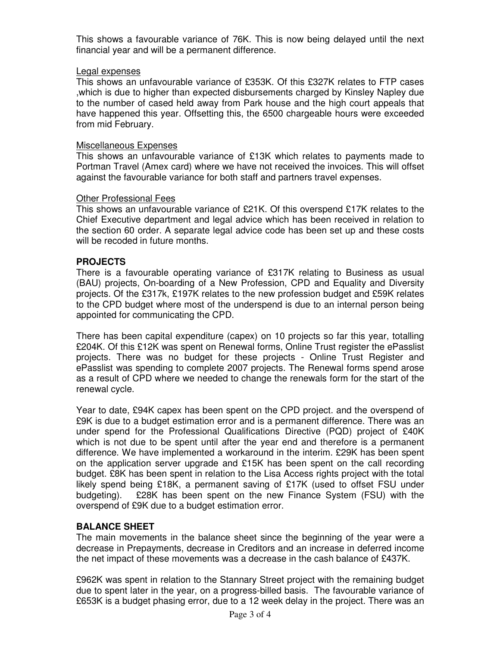This shows a favourable variance of 76K. This is now being delayed until the next financial year and will be a permanent difference.

## Legal expenses

This shows an unfavourable variance of £353K. Of this £327K relates to FTP cases ,which is due to higher than expected disbursements charged by Kinsley Napley due to the number of cased held away from Park house and the high court appeals that have happened this year. Offsetting this, the 6500 chargeable hours were exceeded from mid February.

## Miscellaneous Expenses

This shows an unfavourable variance of £13K which relates to payments made to Portman Travel (Amex card) where we have not received the invoices. This will offset against the favourable variance for both staff and partners travel expenses.

## Other Professional Fees

This shows an unfavourable variance of £21K. Of this overspend £17K relates to the Chief Executive department and legal advice which has been received in relation to the section 60 order. A separate legal advice code has been set up and these costs will be recoded in future months.

## **PROJECTS**

There is a favourable operating variance of £317K relating to Business as usual (BAU) projects, On-boarding of a New Profession, CPD and Equality and Diversity projects. Of the £317k, £197K relates to the new profession budget and £59K relates to the CPD budget where most of the underspend is due to an internal person being appointed for communicating the CPD.

There has been capital expenditure (capex) on 10 projects so far this year, totalling £204K. Of this £12K was spent on Renewal forms, Online Trust register the ePasslist projects. There was no budget for these projects - Online Trust Register and ePasslist was spending to complete 2007 projects. The Renewal forms spend arose as a result of CPD where we needed to change the renewals form for the start of the renewal cycle.

Year to date, £94K capex has been spent on the CPD project. and the overspend of £9K is due to a budget estimation error and is a permanent difference. There was an under spend for the Professional Qualifications Directive (PQD) project of £40K which is not due to be spent until after the year end and therefore is a permanent difference. We have implemented a workaround in the interim. £29K has been spent on the application server upgrade and £15K has been spent on the call recording budget. £8K has been spent in relation to the Lisa Access rights project with the total likely spend being £18K, a permanent saving of £17K (used to offset FSU under budgeting). £28K has been spent on the new Finance System (FSU) with the overspend of £9K due to a budget estimation error.

## **BALANCE SHEET**

The main movements in the balance sheet since the beginning of the year were a decrease in Prepayments, decrease in Creditors and an increase in deferred income the net impact of these movements was a decrease in the cash balance of £437K.

£962K was spent in relation to the Stannary Street project with the remaining budget due to spent later in the year, on a progress-billed basis. The favourable variance of £653K is a budget phasing error, due to a 12 week delay in the project. There was an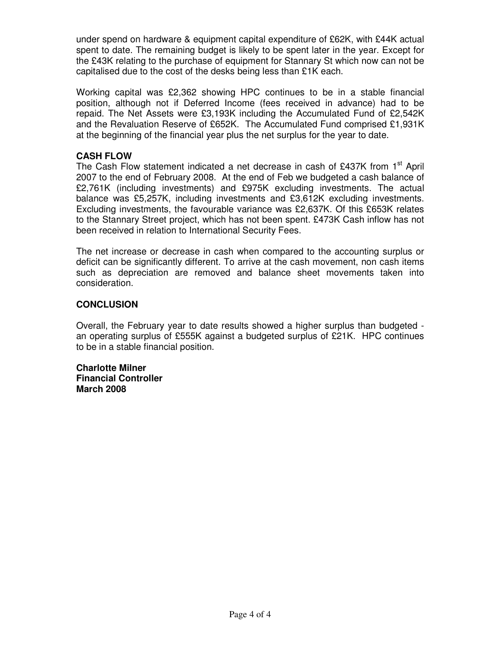under spend on hardware & equipment capital expenditure of £62K, with £44K actual spent to date. The remaining budget is likely to be spent later in the year. Except for the £43K relating to the purchase of equipment for Stannary St which now can not be capitalised due to the cost of the desks being less than £1K each.

Working capital was £2,362 showing HPC continues to be in a stable financial position, although not if Deferred Income (fees received in advance) had to be repaid. The Net Assets were £3,193K including the Accumulated Fund of £2,542K and the Revaluation Reserve of £652K. The Accumulated Fund comprised £1,931K at the beginning of the financial year plus the net surplus for the year to date.

## **CASH FLOW**

The Cash Flow statement indicated a net decrease in cash of £437K from 1<sup>st</sup> April 2007 to the end of February 2008. At the end of Feb we budgeted a cash balance of £2,761K (including investments) and £975K excluding investments. The actual balance was £5,257K, including investments and £3,612K excluding investments. Excluding investments, the favourable variance was £2,637K. Of this £653K relates to the Stannary Street project, which has not been spent. £473K Cash inflow has not been received in relation to International Security Fees.

The net increase or decrease in cash when compared to the accounting surplus or deficit can be significantly different. To arrive at the cash movement, non cash items such as depreciation are removed and balance sheet movements taken into consideration.

## **CONCLUSION**

Overall, the February year to date results showed a higher surplus than budgeted an operating surplus of £555K against a budgeted surplus of £21K. HPC continues to be in a stable financial position.

**Charlotte Milner Financial Controller March 2008**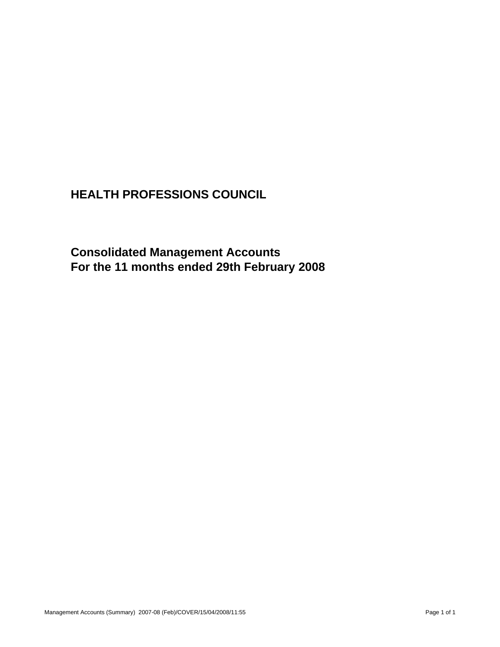**Consolidated Management Accounts For the 11 months ended 29th February 2008**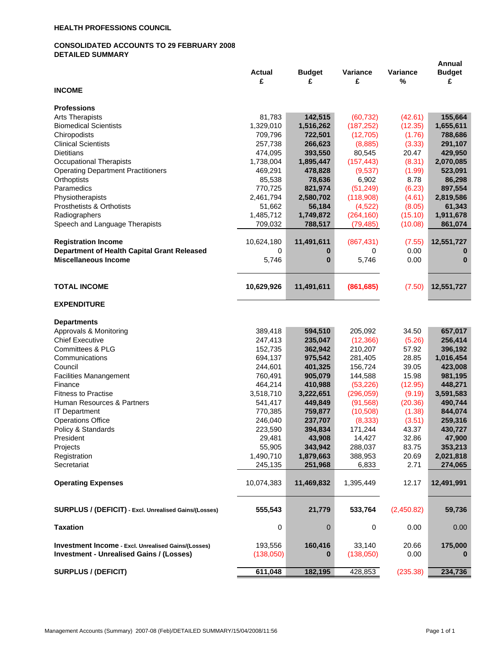#### **CONSOLIDATED ACCOUNTS TO 29 FEBRUARY 2008 DETAILED SUMMARY**

|                                                            |            |               |            |            | Annual        |
|------------------------------------------------------------|------------|---------------|------------|------------|---------------|
|                                                            | Actual     | <b>Budget</b> | Variance   | Variance   | <b>Budget</b> |
|                                                            | £          | £             | £          | %          | £             |
| <b>INCOME</b>                                              |            |               |            |            |               |
| <b>Professions</b>                                         |            |               |            |            |               |
| <b>Arts Therapists</b>                                     | 81,783     | 142,515       | (60, 732)  | (42.61)    | 155,664       |
| <b>Biomedical Scientists</b>                               | 1,329,010  | 1,516,262     | (187, 252) | (12.35)    | 1,655,611     |
|                                                            |            |               |            |            |               |
| Chiropodists                                               | 709,796    | 722,501       | (12,705)   | (1.76)     | 788,686       |
| <b>Clinical Scientists</b>                                 | 257,738    | 266,623       | (8,885)    | (3.33)     | 291,107       |
| <b>Dietitians</b>                                          | 474,095    | 393,550       | 80,545     | 20.47      | 429,950       |
| <b>Occupational Therapists</b>                             | 1,738,004  | 1,895,447     | (157, 443) | (8.31)     | 2,070,085     |
| <b>Operating Department Practitioners</b>                  | 469,291    | 478,828       | (9.537)    | (1.99)     | 523,091       |
| Orthoptists                                                | 85,538     | 78,636        | 6,902      | 8.78       | 86,298        |
| Paramedics                                                 | 770,725    | 821,974       | (51, 249)  | (6.23)     | 897,554       |
| Physiotherapists                                           | 2,461,794  | 2,580,702     | (118,908)  | (4.61)     | 2,819,586     |
| <b>Prosthetists &amp; Orthotists</b>                       | 51,662     | 56,184        | (4,522)    | (8.05)     | 61,343        |
| Radiographers                                              | 1,485,712  | 1,749,872     | (264, 160) | (15.10)    | 1,911,678     |
| Speech and Language Therapists                             | 709,032    | 788,517       | (79, 485)  | (10.08)    | 861,074       |
|                                                            |            |               |            |            |               |
| <b>Registration Income</b>                                 | 10,624,180 | 11,491,611    | (867, 431) | (7.55)     | 12,551,727    |
| Department of Health Capital Grant Released                | 0          | 0             | 0          | 0.00       |               |
| <b>Miscellaneous Income</b>                                | 5,746      | $\bf{0}$      | 5,746      | 0.00       | $\bf{0}$      |
|                                                            |            |               |            |            |               |
|                                                            |            |               |            |            |               |
| <b>TOTAL INCOME</b>                                        | 10,629,926 | 11,491,611    | (861, 685) | (7.50)     | 12,551,727    |
|                                                            |            |               |            |            |               |
| <b>EXPENDITURE</b>                                         |            |               |            |            |               |
|                                                            |            |               |            |            |               |
| <b>Departments</b>                                         |            |               |            |            |               |
| Approvals & Monitoring                                     | 389,418    | 594,510       | 205,092    | 34.50      | 657,017       |
| <b>Chief Executive</b>                                     | 247,413    | 235,047       | (12, 366)  | (5.26)     | 256,414       |
| Committees & PLG                                           | 152,735    | 362,942       | 210,207    | 57.92      | 396,192       |
| Communications                                             | 694,137    | 975,542       | 281,405    | 28.85      | 1,016,454     |
| Council                                                    | 244,601    | 401,325       | 156,724    | 39.05      | 423,008       |
| <b>Facilities Manangement</b>                              | 760,491    | 905,079       | 144,588    | 15.98      | 981,195       |
| Finance                                                    | 464,214    | 410,988       | (53, 226)  | (12.95)    | 448,271       |
| <b>Fitness to Practise</b>                                 | 3,518,710  | 3,222,651     | (296, 059) | (9.19)     | 3,591,583     |
| Human Resources & Partners                                 | 541,417    | 449,849       | (91, 568)  | (20.36)    | 490,744       |
| <b>IT Department</b>                                       | 770,385    | 759,877       | (10, 508)  | (1.38)     | 844,074       |
| <b>Operations Office</b>                                   | 246,040    | 237,707       | (8, 333)   | (3.51)     | 259,316       |
| Policy & Standards                                         | 223,590    | 394,834       | 171,244    | 43.37      | 430,727       |
| President                                                  | 29,481     | 43,908        | 14,427     | 32.86      | 47,900        |
| Projects                                                   | 55,905     | 343,942       | 288,037    | 83.75      | 353,213       |
| Registration                                               | 1,490,710  | 1,879,663     | 388,953    | 20.69      | 2,021,818     |
| Secretariat                                                | 245,135    | 251,968       | 6,833      | 2.71       | 274,065       |
|                                                            |            |               |            |            |               |
| <b>Operating Expenses</b>                                  | 10,074,383 | 11,469,832    | 1,395,449  | 12.17      | 12,491,991    |
|                                                            |            |               |            |            |               |
|                                                            |            |               |            |            |               |
| SURPLUS / (DEFICIT) - Excl. Unrealised Gains/(Losses)      | 555,543    | 21,779        | 533,764    | (2,450.82) | 59,736        |
|                                                            |            |               |            |            |               |
| <b>Taxation</b>                                            | 0          | 0             | 0          | 0.00       | 0.00          |
|                                                            |            |               |            |            |               |
| <b>Investment Income - Excl. Unrealised Gains/(Losses)</b> | 193,556    | 160,416       | 33,140     | 20.66      | 175,000       |
| <b>Investment - Unrealised Gains / (Losses)</b>            | (138,050)  | 0             | (138,050)  | 0.00       | $\bf{0}$      |
|                                                            |            |               |            |            |               |
| <b>SURPLUS / (DEFICIT)</b>                                 | 611,048    | 182,195       | 428,853    | (235.38)   | 234,736       |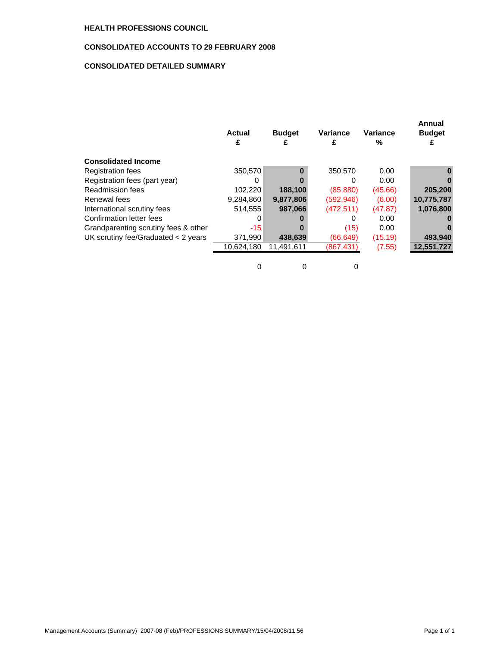## **CONSOLIDATED ACCOUNTS TO 29 FEBRUARY 2008**

#### **CONSOLIDATED DETAILED SUMMARY**

|                                       | Actual<br>£ | <b>Budget</b> | Variance<br>£ | Variance<br>% | Annual<br><b>Budget</b> |
|---------------------------------------|-------------|---------------|---------------|---------------|-------------------------|
| <b>Consolidated Income</b>            |             |               |               |               |                         |
| <b>Registration fees</b>              | 350.570     | 0             | 350,570       | 0.00          |                         |
| Registration fees (part year)         | O           |               | $\Omega$      | 0.00          |                         |
| <b>Readmission fees</b>               | 102,220     | 188,100       | (85, 880)     | (45.66)       | 205,200                 |
| Renewal fees                          | 9,284,860   | 9,877,806     | (592, 946)    | (6.00)        | 10,775,787              |
| International scrutiny fees           | 514.555     | 987,066       | (472, 511)    | (47.87)       | 1,076,800               |
| Confirmation letter fees              |             |               |               | 0.00          |                         |
| Grandparenting scrutiny fees & other  | $-15$       |               | (15)          | 0.00          |                         |
| UK scrutiny fee/Graduated $<$ 2 years | 371,990     | 438,639       | (66, 649)     | (15.19)       | 493,940                 |
|                                       | 10,624,180  | 11,491,611    | (867,431      | (7.55)        | 12,551,727              |
|                                       |             |               |               |               |                         |
|                                       |             |               |               |               |                         |

Management Accounts (Summary) 2007-08 (Feb)/PROFESSIONS SUMMARY/15/04/2008/11:56 Page 1 of 1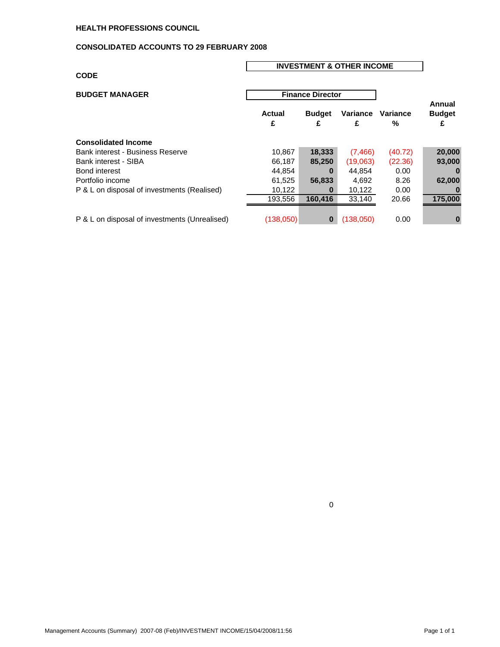## **CONSOLIDATED ACCOUNTS TO 29 FEBRUARY 2008**

|                                               | <b>INVESTMENT &amp; OTHER INCOME</b> |                         |               |               |                              |  |
|-----------------------------------------------|--------------------------------------|-------------------------|---------------|---------------|------------------------------|--|
| <b>CODE</b>                                   |                                      |                         |               |               |                              |  |
| <b>BUDGET MANAGER</b>                         |                                      | <b>Finance Director</b> |               |               |                              |  |
|                                               | Actual<br>£                          | <b>Budget</b><br>£      | Variance<br>£ | Variance<br>% | Annual<br><b>Budget</b><br>£ |  |
| <b>Consolidated Income</b>                    |                                      |                         |               |               |                              |  |
| Bank interest - Business Reserve              | 10.867                               | 18.333                  | (7, 466)      | (40.72)       | 20,000                       |  |
| Bank interest - SIBA                          | 66,187                               | 85,250                  | (19,063)      | (22.36)       | 93,000                       |  |
| Bond interest                                 | 44,854                               | 0                       | 44.854        | 0.00          | 0                            |  |
| Portfolio income                              | 61,525                               | 56,833                  | 4,692         | 8.26          | 62,000                       |  |
| P & L on disposal of investments (Realised)   | 10,122                               | $\Omega$                | 10,122        | 0.00          | 0                            |  |
|                                               | 193,556                              | 160,416                 | 33,140        | 20.66         | 175,000                      |  |
| P & L on disposal of investments (Unrealised) | (138,050)                            | $\bf{0}$                | (138,050)     | 0.00          | 0                            |  |

0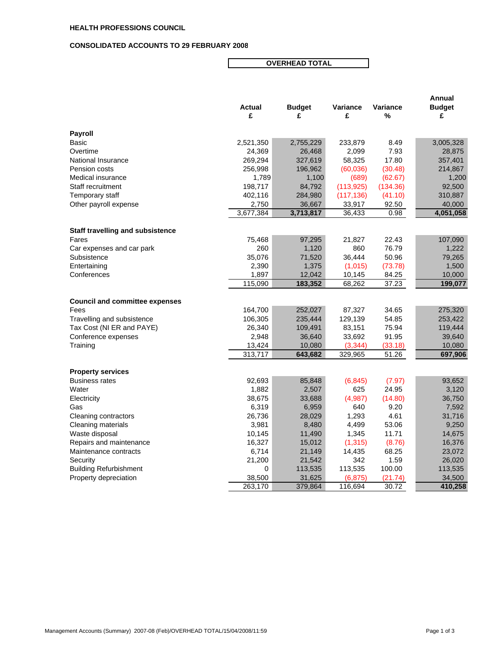#### **CONSOLIDATED ACCOUNTS TO 29 FEBRUARY 2008**

**OVERHEAD TOTAL**

|                                       | Actual<br>£ | <b>Budget</b><br>£ | Variance<br>£ | Variance<br>% | Annual<br><b>Budget</b><br>£ |
|---------------------------------------|-------------|--------------------|---------------|---------------|------------------------------|
| Payroll                               |             |                    |               |               |                              |
| Basic                                 | 2,521,350   | 2,755,229          | 233,879       | 8.49          | 3,005,328                    |
| Overtime                              | 24,369      | 26,468             | 2,099         | 7.93          | 28,875                       |
| National Insurance                    | 269,294     | 327,619            | 58,325        | 17.80         | 357,401                      |
| Pension costs                         | 256,998     | 196,962            | (60,036)      | (30.48)       | 214,867                      |
| Medical insurance                     | 1,789       | 1,100              | (689)         | (62.67)       | 1,200                        |
| Staff recruitment                     | 198,717     | 84,792             | (113, 925)    | (134.36)      | 92,500                       |
| Temporary staff                       | 402,116     | 284,980            | (117, 136)    | (41.10)       | 310,887                      |
| Other payroll expense                 | 2,750       | 36,667             | 33,917        | 92.50         | 40,000                       |
|                                       | 3,677,384   | 3,713,817          | 36,433        | 0.98          | 4,051,058                    |
| Staff travelling and subsistence      |             |                    |               |               |                              |
| Fares                                 | 75,468      | 97,295             | 21,827        | 22.43         | 107,090                      |
| Car expenses and car park             | 260         | 1,120              | 860           | 76.79         | 1,222                        |
| Subsistence                           | 35,076      | 71,520             | 36,444        | 50.96         | 79,265                       |
| Entertaining                          | 2,390       | 1,375              | (1,015)       | (73.78)       | 1,500                        |
| Conferences                           | 1,897       | 12,042             | 10,145        | 84.25         | 10,000                       |
|                                       | 115,090     | 183,352            | 68,262        | 37.23         | 199,077                      |
| <b>Council and committee expenses</b> |             |                    |               |               |                              |
| Fees                                  | 164,700     | 252,027            | 87,327        | 34.65         | 275,320                      |
| Travelling and subsistence            | 106,305     | 235,444            | 129,139       | 54.85         | 253,422                      |
| Tax Cost (NI ER and PAYE)             | 26,340      | 109,491            | 83,151        | 75.94         | 119,444                      |
| Conference expenses                   | 2,948       | 36,640             | 33,692        | 91.95         | 39,640                       |
| Training                              | 13,424      | 10,080             | (3, 344)      | (33.18)       | 10,080                       |
|                                       | 313,717     | 643,682            | 329,965       | 51.26         | 697,906                      |
| <b>Property services</b>              |             |                    |               |               |                              |
| <b>Business rates</b>                 | 92,693      | 85,848             | (6, 845)      | (7.97)        | 93,652                       |
| Water                                 | 1,882       | 2,507              | 625           | 24.95         | 3,120                        |
| Electricity                           | 38,675      | 33,688             | (4,987)       | (14.80)       | 36,750                       |
| Gas                                   | 6,319       | 6,959              | 640           | 9.20          | 7,592                        |
| Cleaning contractors                  | 26,736      | 28,029             | 1,293         | 4.61          | 31,716                       |
| Cleaning materials                    | 3,981       | 8,480              | 4,499         | 53.06         | 9,250                        |
| Waste disposal                        | 10,145      | 11,490             | 1,345         | 11.71         | 14,675                       |
| Repairs and maintenance               | 16,327      | 15,012             | (1, 315)      | (8.76)        | 16,376                       |
| Maintenance contracts                 | 6,714       | 21,149             | 14,435        | 68.25         | 23,072                       |
| Security                              | 21,200      | 21,542             | 342           | 1.59          | 26,020                       |
| <b>Building Refurbishment</b>         | 0           | 113,535            | 113,535       | 100.00        | 113,535                      |
| Property depreciation                 | 38,500      | 31,625             | (6, 875)      | (21.74)       | 34,500                       |
|                                       | 263,170     | 379,864            | 116,694       | 30.72         | 410,258                      |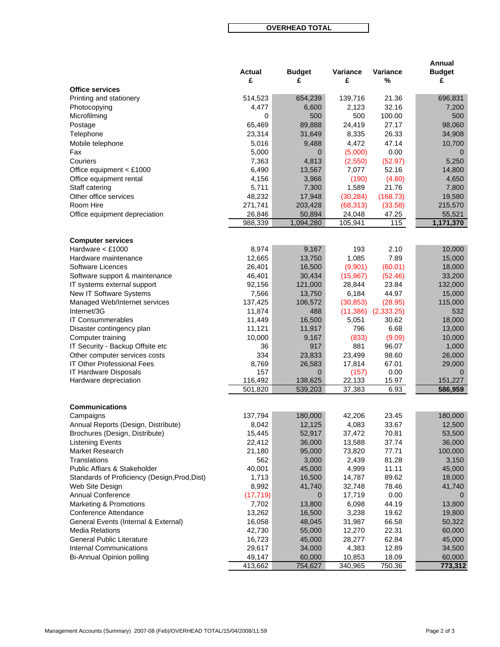**OVERHEAD TOTAL**

|                                                                |                   |                       |                   |                | Annual             |
|----------------------------------------------------------------|-------------------|-----------------------|-------------------|----------------|--------------------|
|                                                                | Actual<br>£       | <b>Budget</b><br>£    | Variance<br>£     | Variance<br>%  | <b>Budget</b><br>£ |
| <b>Office services</b>                                         |                   |                       |                   |                |                    |
| Printing and stationery                                        | 514,523           | 654,239               | 139,716           | 21.36          | 696,831            |
| Photocopying                                                   | 4,477             | 6,600                 | 2,123             | 32.16          | 7,200              |
| Microfilming                                                   | 0                 | 500                   | 500               | 100.00         | 500                |
| Postage                                                        | 65,469            | 89,888                | 24,419            | 27.17          | 98,060             |
| Telephone                                                      | 23,314            | 31,649                | 8,335             | 26.33          | 34,908             |
| Mobile telephone                                               | 5,016             | 9,488                 | 4,472             | 47.14          | 10,700             |
| Fax                                                            | 5,000             | $\mathbf 0$           | (5,000)           | 0.00           | 0                  |
| Couriers                                                       | 7,363             | 4,813                 | (2,550)           | (52.97)        | 5,250              |
| Office equipment < £1000                                       | 6,490             | 13,567                | 7,077             | 52.16          | 14,800             |
| Office equipment rental                                        | 4,156             | 3,966                 | (190)             | (4.80)         | 4,650              |
| Staff catering                                                 | 5,711             | 7,300                 | 1,589             | 21.76          | 7,800              |
| Other office services<br>Room Hire                             | 48,232            | 17,948                | (30, 284)         | (168.73)       | 19,580             |
|                                                                | 271,741           | 203,428<br>50,894     | (68, 313)         | (33.58)        | 215,570<br>55,521  |
| Office equipment depreciation                                  | 26,846<br>988,339 | 1,094,280             | 24,048<br>105,941 | 47.25<br>115   | 1,171,370          |
|                                                                |                   |                       |                   |                |                    |
| <b>Computer services</b>                                       |                   |                       |                   |                |                    |
| Hardware $<$ £1000                                             | 8,974             | 9,167                 | 193               | 2.10           | 10,000             |
| Hardware maintenance                                           | 12,665            | 13,750                | 1,085             | 7.89           | 15,000             |
| Software Licences                                              | 26,401            | 16,500                | (9,901)           | (60.01)        | 18,000             |
| Software support & maintenance                                 | 46,401            | 30,434                | (15, 967)         | (52.46)        | 33,200             |
| IT systems external support                                    | 92,156            | 121,000               | 28,844            | 23.84          | 132,000            |
| New IT Software Systems                                        | 7,566             | 13,750                | 6,184             | 44.97          | 15,000             |
| Managed Web/Internet services                                  | 137,425           | 106,572               | (30, 853)         | (28.95)        | 115,000            |
| Internet/3G                                                    | 11,874            | 488                   | (11, 386)         | (2,333.25)     | 532                |
| <b>IT Consummerables</b>                                       | 11,449            | 16,500                | 5,051             | 30.62          | 18,000             |
| Disaster contingency plan                                      | 11,121            | 11,917                | 796               | 6.68           | 13,000             |
| Computer training                                              | 10,000            | 9,167                 | (833)             | (9.09)         | 10,000             |
| IT Security - Backup Offsite etc                               | 36                | 917                   | 881               | 96.07          | 1,000              |
| Other computer services costs                                  | 334               | 23,833                | 23,499            | 98.60          | 26,000             |
| IT Other Professional Fees                                     | 8,769<br>157      | 26,583<br>$\mathbf 0$ | 17,814            | 67.01<br>0.00  | 29,000<br>0        |
| <b>IT Hardware Disposals</b><br>Hardware depreciation          | 116,492           | 138,625               | (157)<br>22,133   | 15.97          | 151,227            |
|                                                                | 501,820           | 539,203               | 37,383            | 6.93           | 586,959            |
|                                                                |                   |                       |                   |                |                    |
| <b>Communications</b>                                          |                   |                       |                   |                |                    |
| Campaigns                                                      | 137,794           | 180,000               | 42,206            | 23.45          | 180,000            |
| Annual Reports (Design, Distribute)                            | 8,042             | 12,125                | 4,083             | 33.67          | 12,500             |
| Brochures (Design, Distribute)                                 | 15,445            | 52,917                | 37,472            | 70.81          | 53,500             |
| <b>Listening Events</b>                                        | 22,412            | 36,000                | 13,588            | 37.74          | 36,000             |
| Market Research                                                | 21,180            | 95,000                | 73,820            | 77.71          | 100,000            |
| Translations                                                   | 562               | 3,000                 | 2,439             | 81.28          | 3,150              |
| Public Affiars & Stakeholder                                   | 40,001            | 45,000                | 4,999             | 11.11          | 45,000             |
| Standards of Proficiency (Design, Prod, Dist)                  | 1,713             | 16,500                | 14,787            | 89.62          | 18,000             |
| Web Site Design                                                | 8,992             | 41,740                | 32,748            | 78.46          | 41,740             |
| <b>Annual Conference</b>                                       | (17, 719)         | 0                     | 17,719            | 0.00           | $\mathbf 0$        |
| Marketing & Promotions                                         | 7,702             | 13,800                | 6,098             | 44.19          | 13,800             |
| Conference Attendance                                          | 13,262<br>16,058  | 16,500<br>48,045      | 3,238<br>31,987   | 19.62          | 19,800             |
| General Events (Internal & External)<br><b>Media Relations</b> | 42,730            | 55,000                | 12,270            | 66.58<br>22.31 | 50,322<br>60,000   |
| <b>General Public Literature</b>                               | 16,723            | 45,000                | 28,277            | 62.84          | 45,000             |
| <b>Internal Communications</b>                                 | 29,617            | 34,000                | 4,383             | 12.89          | 34,500             |
| Bi-Annual Opinion polling                                      | 49,147            | 60,000                | 10,853            | 18.09          | 60,000             |
|                                                                | 413,662           | 754,627               | 340,965           | 750.36         | 773,312            |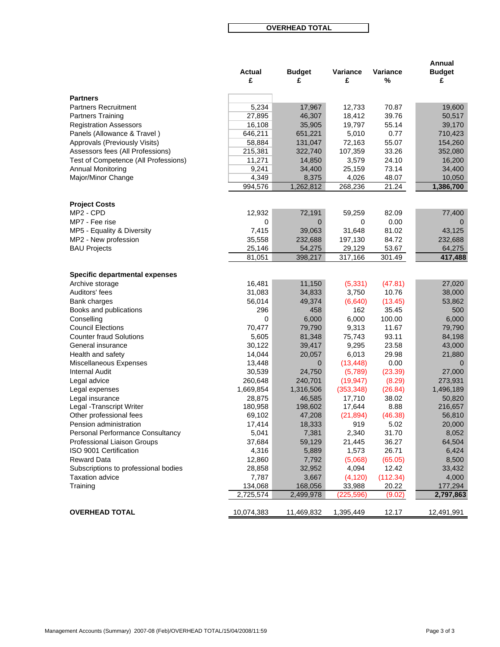**OVERHEAD TOTAL**

|                                       |               |               |            |          | Annual        |
|---------------------------------------|---------------|---------------|------------|----------|---------------|
|                                       | <b>Actual</b> | <b>Budget</b> | Variance   | Variance | <b>Budget</b> |
|                                       | £             | £             | £          | $\%$     | £             |
| <b>Partners</b>                       |               |               |            |          |               |
| <b>Partners Recruitment</b>           | 5,234         | 17,967        | 12,733     | 70.87    | 19,600        |
| <b>Partners Training</b>              | 27,895        | 46,307        | 18,412     | 39.76    | 50,517        |
| <b>Registration Assessors</b>         | 16,108        | 35,905        | 19,797     | 55.14    | 39,170        |
| Panels (Allowance & Travel)           | 646,211       | 651,221       | 5,010      | 0.77     | 710,423       |
| Approvals (Previously Visits)         | 58,884        | 131,047       | 72,163     | 55.07    | 154,260       |
| Assessors fees (All Professions)      | 215,381       | 322,740       | 107,359    | 33.26    | 352,080       |
| Test of Competence (All Professions)  | 11,271        | 14,850        | 3,579      | 24.10    | 16,200        |
| Annual Monitoring                     | 9,241         | 34,400        | 25,159     | 73.14    | 34,400        |
| Major/Minor Change                    | 4,349         | 8,375         | 4,026      | 48.07    | 10,050        |
|                                       | 994,576       | 1,262,812     | 268,236    | 21.24    | 1,386,700     |
|                                       |               |               |            |          |               |
| <b>Project Costs</b>                  |               |               |            |          |               |
| MP <sub>2</sub> - CPD                 | 12,932        | 72,191        | 59,259     | 82.09    | 77,400        |
| MP7 - Fee rise                        | 0             | 0             | 0          | 0.00     |               |
| MP5 - Equality & Diversity            | 7,415         | 39,063        | 31,648     | 81.02    | 43,125        |
| MP2 - New profession                  | 35,558        | 232,688       | 197,130    | 84.72    | 232,688       |
| <b>BAU Projects</b>                   | 25,146        | 54,275        | 29,129     | 53.67    | 64,275        |
|                                       | 81,051        | 398,217       | 317,166    | 301.49   | 417,488       |
| <b>Specific departmental expenses</b> |               |               |            |          |               |
| Archive storage                       | 16,481        | 11,150        | (5, 331)   | (47.81)  | 27,020        |
| Auditors' fees                        | 31,083        | 34,833        | 3,750      | 10.76    | 38,000        |
| Bank charges                          | 56,014        | 49,374        | (6,640)    | (13.45)  | 53,862        |
| Books and publications                | 296           | 458           | 162        | 35.45    | 500           |
| Conselling                            | 0             | 6,000         | 6,000      | 100.00   | 6,000         |
| <b>Council Elections</b>              | 70,477        | 79,790        | 9,313      | 11.67    | 79,790        |
| <b>Counter fraud Solutions</b>        | 5,605         | 81,348        | 75,743     | 93.11    | 84,198        |
| General insurance                     | 30,122        | 39,417        | 9,295      | 23.58    | 43,000        |
| Health and safety                     | 14,044        | 20,057        | 6,013      | 29.98    | 21,880        |
| Miscellaneous Expenses                | 13,448        | 0             | (13, 448)  | 0.00     | $\mathbf 0$   |
| <b>Internal Audit</b>                 | 30,539        | 24,750        | (5,789)    | (23.39)  | 27,000        |
| Legal advice                          | 260,648       | 240,701       | (19, 947)  | (8.29)   | 273,931       |
| Legal expenses                        | 1,669,854     | 1,316,506     | (353, 348) | (26.84)  | 1,496,189     |
| Legal insurance                       | 28,875        | 46,585        | 17,710     | 38.02    | 50,820        |
| Legal - Transcript Writer             | 180,958       | 198,602       | 17,644     | 8.88     | 216,657       |
| Other professional fees               | 69,102        | 47,208        | (21, 894)  | (46.38)  | 56,810        |
| Pension administration                | 17,414        | 18,333        | 919        | 5.02     | 20,000        |
| Personal Performance Consultancy      | 5,041         | 7,381         | 2,340      | 31.70    | 8,052         |
| Professional Liaison Groups           | 37,684        | 59,129        | 21,445     | 36.27    | 64,504        |
| ISO 9001 Certification                | 4,316         | 5,889         | 1,573      | 26.71    | 6,424         |
| <b>Reward Data</b>                    | 12,860        | 7,792         | (5,068)    | (65.05)  | 8,500         |
| Subscriptions to professional bodies  | 28,858        | 32,952        | 4,094      | 12.42    | 33,432        |
| <b>Taxation advice</b>                | 7,787         | 3,667         | (4, 120)   | (112.34) | 4,000         |
| Training                              | 134,068       | 168,056       | 33,988     | 20.22    | 177,294       |
|                                       | 2,725,574     | 2,499,978     | (225, 596) | (9.02)   | 2,797,863     |
| <b>OVERHEAD TOTAL</b>                 | 10,074,383    | 11,469,832    | 1,395,449  | 12.17    | 12,491,991    |
|                                       |               |               |            |          |               |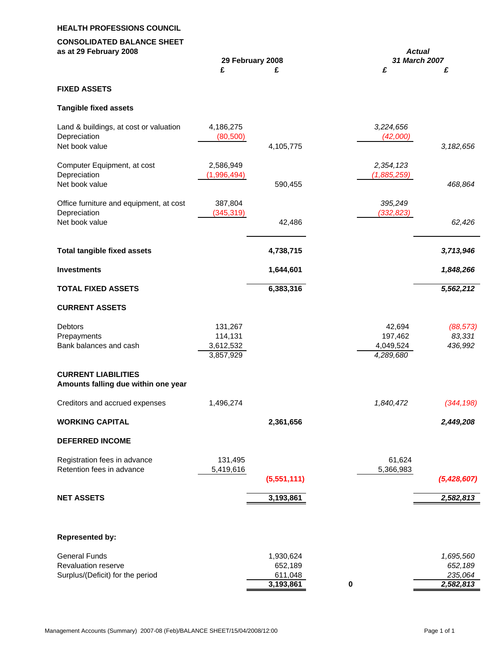### **CONSOLIDATED BALANCE SHEET as at 29 February 2008**

| as at 29 February 2008 |                  | Actual               |  |
|------------------------|------------------|----------------------|--|
|                        | 29 February 2008 | <b>31 March 2007</b> |  |
|                        |                  |                      |  |

#### **FIXED ASSETS**

| Land & buildings, at cost or valuation<br>Depreciation                    | 4,186,275<br>(80, 500)                       |                      | 3,224,656<br>(42,000)                       |                                |
|---------------------------------------------------------------------------|----------------------------------------------|----------------------|---------------------------------------------|--------------------------------|
| Net book value                                                            |                                              | 4,105,775            |                                             | 3, 182, 656                    |
| Computer Equipment, at cost<br>Depreciation<br>Net book value             | 2,586,949<br>(1,996,494)                     | 590,455              | 2,354,123<br>(1,885,259)                    | 468,864                        |
| Office furniture and equipment, at cost<br>Depreciation<br>Net book value | 387,804<br>(345, 319)                        | 42,486               | 395,249<br>(332, 823)                       | 62,426                         |
| <b>Total tangible fixed assets</b>                                        |                                              | 4,738,715            |                                             | 3,713,946                      |
| <b>Investments</b>                                                        |                                              | 1,644,601            |                                             | 1,848,266                      |
| <b>TOTAL FIXED ASSETS</b>                                                 |                                              | 6,383,316            |                                             | 5,562,212                      |
| <b>CURRENT ASSETS</b>                                                     |                                              |                      |                                             |                                |
| Debtors<br>Prepayments<br>Bank balances and cash                          | 131,267<br>114,131<br>3,612,532<br>3,857,929 |                      | 42,694<br>197,462<br>4,049,524<br>4,289,680 | (88, 573)<br>83,331<br>436,992 |
| <b>CURRENT LIABILITIES</b><br>Amounts falling due within one year         |                                              |                      |                                             |                                |
| Creditors and accrued expenses                                            | 1,496,274                                    |                      | 1,840,472                                   | (344, 198)                     |
| <b>WORKING CAPITAL</b>                                                    |                                              | 2,361,656            |                                             | 2,449,208                      |
| <b>DEFERRED INCOME</b>                                                    |                                              |                      |                                             |                                |
| Registration fees in advance<br>Retention fees in advance                 | 131,495<br>5,419,616                         | (5,551,111)          | 61,624<br>5,366,983                         | (5,428,607)                    |
| <b>NET ASSETS</b>                                                         |                                              | 3,193,861            |                                             | 2,582,813                      |
| <b>Represented by:</b>                                                    |                                              |                      |                                             |                                |
| <b>General Funds</b>                                                      |                                              | 1,930,624            |                                             | 1,695,560                      |
| Revaluation reserve                                                       |                                              | 652,189              |                                             | 652,189                        |
| Surplus/(Deficit) for the period                                          |                                              | 611,048<br>3,193,861 | 0                                           | 235,064<br>2,582,813           |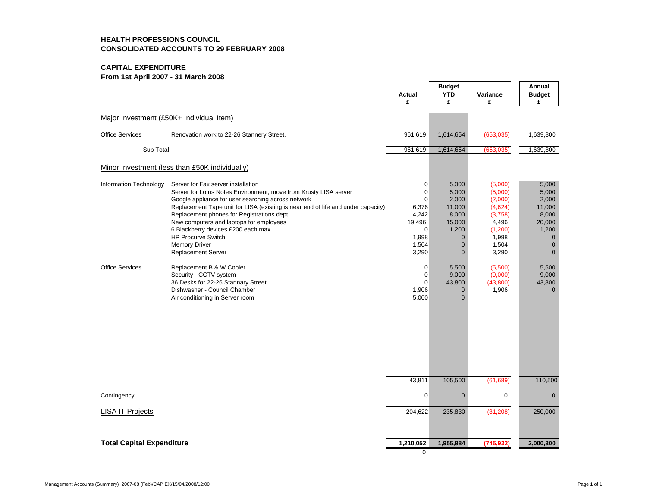#### **HEALTH PROFESSIONS COUNCIL CONSOLIDATED ACCOUNTS TO 29 FEBRUARY 2008**

### **CAPITAL EXPENDITURE**

#### **From 1st April 2007 - 31 March 2008**

|                                                |                                                                                                                                                                                                                                                                                                                                                                                                                                                                  | <b>Actual</b><br>£                                                                | <b>Budget</b><br><b>YTD</b><br>£                                                                             | Variance<br>£                                                                                      | Annual<br><b>Budget</b><br>£                                                                              |
|------------------------------------------------|------------------------------------------------------------------------------------------------------------------------------------------------------------------------------------------------------------------------------------------------------------------------------------------------------------------------------------------------------------------------------------------------------------------------------------------------------------------|-----------------------------------------------------------------------------------|--------------------------------------------------------------------------------------------------------------|----------------------------------------------------------------------------------------------------|-----------------------------------------------------------------------------------------------------------|
| Major Investment (£50K+ Individual Item)       |                                                                                                                                                                                                                                                                                                                                                                                                                                                                  |                                                                                   |                                                                                                              |                                                                                                    |                                                                                                           |
| <b>Office Services</b>                         | Renovation work to 22-26 Stannery Street.                                                                                                                                                                                                                                                                                                                                                                                                                        | 961,619                                                                           | 1,614,654                                                                                                    | (653,035)                                                                                          | 1,639,800                                                                                                 |
| Sub Total                                      |                                                                                                                                                                                                                                                                                                                                                                                                                                                                  | 961,619                                                                           | 1,614,654                                                                                                    | (653,035)                                                                                          | 1,639,800                                                                                                 |
| Minor Investment (less than £50K individually) |                                                                                                                                                                                                                                                                                                                                                                                                                                                                  |                                                                                   |                                                                                                              |                                                                                                    |                                                                                                           |
| Information Technology                         | Server for Fax server installation<br>Server for Lotus Notes Environment, move from Krusty LISA server<br>Google appliance for user searching across network<br>Replacement Tape unit for LISA (existing is near end of life and under capacity)<br>Replacement phones for Registrations dept<br>New computers and laptops for employees<br>6 Blackberry devices £200 each max<br><b>HP Procurve Switch</b><br><b>Memory Driver</b><br><b>Replacement Server</b> | 0<br>$\mathbf 0$<br>0<br>6,376<br>4,242<br>19,496<br>0<br>1,998<br>1,504<br>3,290 | 5,000<br>5,000<br>2,000<br>11,000<br>8,000<br>15,000<br>1,200<br>$\mathbf{0}$<br>$\mathbf 0$<br>$\mathbf{0}$ | (5,000)<br>(5,000)<br>(2,000)<br>(4,624)<br>(3,758)<br>4,496<br>(1,200)<br>1,998<br>1,504<br>3,290 | 5,000<br>5,000<br>2,000<br>11,000<br>8,000<br>20,000<br>1,200<br>$\Omega$<br>$\mathbf{0}$<br>$\mathbf{0}$ |
| <b>Office Services</b>                         | Replacement B & W Copier<br>Security - CCTV system<br>36 Desks for 22-26 Stannary Street<br>Dishwasher - Council Chamber<br>Air conditioning in Server room                                                                                                                                                                                                                                                                                                      | 0<br>0<br>0<br>1,906<br>5,000                                                     | 5,500<br>9,000<br>43,800<br>0<br>$\overline{0}$                                                              | (5,500)<br>(9,000)<br>(43,800)<br>1,906                                                            | 5,500<br>9,000<br>43,800<br>$\mathbf{0}$                                                                  |
|                                                |                                                                                                                                                                                                                                                                                                                                                                                                                                                                  | 43,811                                                                            | 105,500                                                                                                      | (61, 689)                                                                                          | 110,500                                                                                                   |
| Contingency                                    |                                                                                                                                                                                                                                                                                                                                                                                                                                                                  | $\mathbf 0$                                                                       | $\overline{0}$                                                                                               | $\mathbf 0$                                                                                        | $\mathbf{0}$                                                                                              |
| <b>LISA IT Projects</b>                        |                                                                                                                                                                                                                                                                                                                                                                                                                                                                  | 204,622                                                                           | 235,830                                                                                                      | (31, 208)                                                                                          | 250,000                                                                                                   |
| <b>Total Capital Expenditure</b>               |                                                                                                                                                                                                                                                                                                                                                                                                                                                                  | 1,210,052<br>$\Omega$                                                             | 1,955,984                                                                                                    | (745, 932)                                                                                         | 2,000,300                                                                                                 |

- -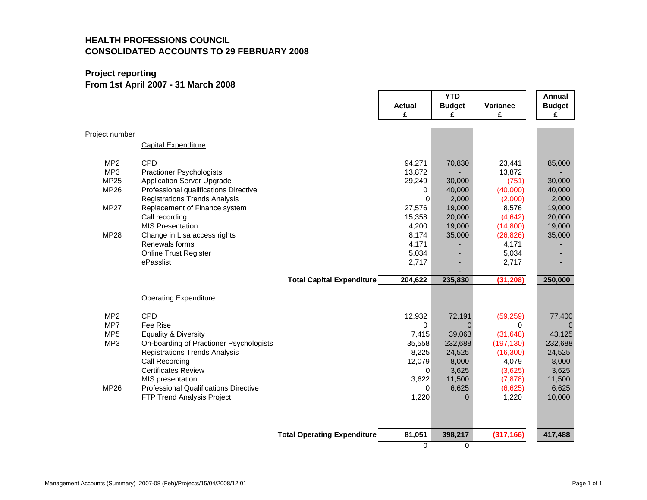## **HEALTH PROFESSIONS COUNCIL CONSOLIDATED ACCOUNTS TO 29 FEBRUARY 2008**

# **Project reporting**

## **From 1st April 2007 - 31 March 2008**

|                 |                                              |                                    | <b>Actual</b> | <b>YTD</b><br><b>Budget</b> | <b>Variance</b> | Annual<br><b>Budget</b> |
|-----------------|----------------------------------------------|------------------------------------|---------------|-----------------------------|-----------------|-------------------------|
|                 |                                              |                                    | £             | £                           | £               | £                       |
|                 |                                              |                                    |               |                             |                 |                         |
| Project number  |                                              |                                    |               |                             |                 |                         |
|                 | <b>Capital Expenditure</b>                   |                                    |               |                             |                 |                         |
| MP <sub>2</sub> | CPD                                          |                                    | 94,271        | 70,830                      | 23,441          | 85,000                  |
| MP <sub>3</sub> | <b>Practioner Psychologists</b>              |                                    | 13,872        |                             | 13,872          |                         |
| <b>MP25</b>     | <b>Application Server Upgrade</b>            |                                    | 29,249        | 30,000                      | (751)           | 30,000                  |
| MP26            | Professional qualifications Directive        |                                    | 0             | 40,000                      | (40,000)        | 40,000                  |
|                 | <b>Registrations Trends Analysis</b>         |                                    | $\Omega$      | 2,000                       | (2,000)         | 2,000                   |
| <b>MP27</b>     | Replacement of Finance system                |                                    | 27,576        | 19,000                      | 8,576           | 19,000                  |
|                 | Call recording                               |                                    | 15,358        | 20,000                      | (4,642)         | 20,000                  |
|                 | <b>MIS Presentation</b>                      |                                    | 4,200         | 19,000                      | (14,800)        | 19,000                  |
| <b>MP28</b>     | Change in Lisa access rights                 |                                    | 8,174         | 35,000                      | (26, 826)       | 35,000                  |
|                 | Renewals forms                               |                                    | 4,171         |                             | 4,171           |                         |
|                 | <b>Online Trust Register</b>                 |                                    | 5,034         |                             | 5,034           |                         |
|                 | ePasslist                                    |                                    | 2,717         |                             | 2,717           |                         |
|                 |                                              |                                    |               |                             |                 |                         |
|                 |                                              | <b>Total Capital Expenditure</b>   | 204,622       | 235,830                     | (31, 208)       | 250,000                 |
|                 | <b>Operating Expenditure</b>                 |                                    |               |                             |                 |                         |
| MP <sub>2</sub> | CPD                                          |                                    | 12,932        | 72,191                      | (59, 259)       | 77,400                  |
| MP7             | Fee Rise                                     |                                    | $\Omega$      | $\Omega$                    | $\Omega$        |                         |
| MP <sub>5</sub> | <b>Equality &amp; Diversity</b>              |                                    | 7,415         | 39,063                      | (31, 648)       | 43,125                  |
| MP3             | On-boarding of Practioner Psychologists      |                                    | 35,558        | 232,688                     | (197, 130)      | 232,688                 |
|                 | <b>Registrations Trends Analysis</b>         |                                    | 8,225         | 24,525                      | (16, 300)       | 24,525                  |
|                 | Call Recording                               |                                    | 12,079        | 8,000                       | 4,079           | 8,000                   |
|                 | <b>Certificates Review</b>                   |                                    | 0             | 3,625                       | (3,625)         | 3,625                   |
|                 | <b>MIS</b> presentation                      |                                    | 3,622         | 11,500                      | (7, 878)        | 11,500                  |
| <b>MP26</b>     | <b>Professional Qualifications Directive</b> |                                    | 0             | 6,625                       | (6,625)         | 6,625                   |
|                 | FTP Trend Analysis Project                   |                                    | 1,220         | $\mathbf 0$                 | 1,220           | 10,000                  |
|                 |                                              |                                    |               |                             |                 |                         |
|                 |                                              |                                    |               |                             |                 |                         |
|                 |                                              | <b>Total Operating Expenditure</b> | 81,051        | 398,217                     | (317, 166)      | 417,488                 |
|                 |                                              |                                    | $\mathbf 0$   | 0                           |                 |                         |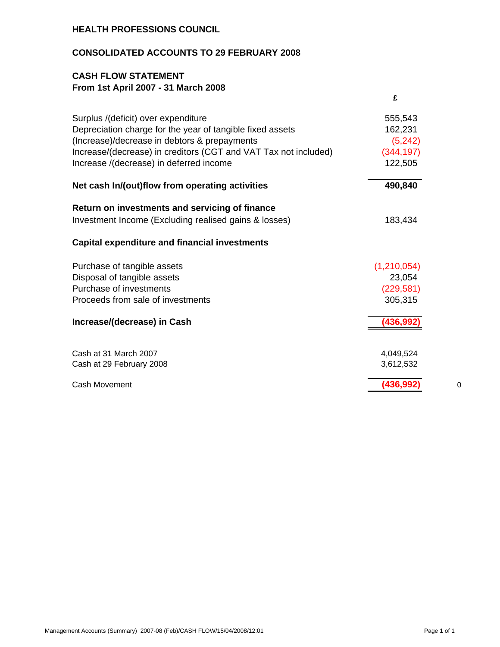## **CONSOLIDATED ACCOUNTS TO 29 FEBRUARY 2008**

## **CASH FLOW STATEMENT From 1st April 2007 - 31 March 2008**

|                                                                 | £             |   |
|-----------------------------------------------------------------|---------------|---|
| Surplus /(deficit) over expenditure                             | 555,543       |   |
| Depreciation charge for the year of tangible fixed assets       | 162,231       |   |
| (Increase)/decrease in debtors & prepayments                    | (5, 242)      |   |
| Increase/(decrease) in creditors (CGT and VAT Tax not included) | (344, 197)    |   |
| Increase /(decrease) in deferred income                         | 122,505       |   |
| Net cash In/(out)flow from operating activities                 | 490,840       |   |
| Return on investments and servicing of finance                  |               |   |
| Investment Income (Excluding realised gains & losses)           | 183,434       |   |
| <b>Capital expenditure and financial investments</b>            |               |   |
| Purchase of tangible assets                                     | (1, 210, 054) |   |
| Disposal of tangible assets                                     | 23,054        |   |
| Purchase of investments                                         | (229, 581)    |   |
| Proceeds from sale of investments                               | 305,315       |   |
| Increase/(decrease) in Cash                                     | (436,992      |   |
| Cash at 31 March 2007                                           | 4,049,524     |   |
| Cash at 29 February 2008                                        | 3,612,532     |   |
| <b>Cash Movement</b>                                            | (436, 992)    | 0 |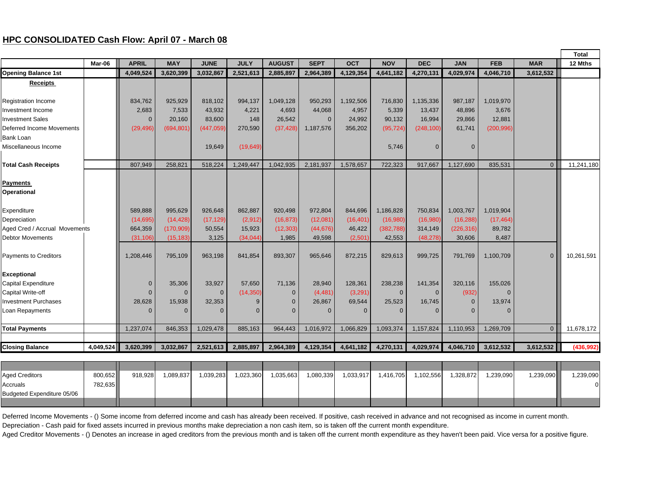## **HPC CONSOLIDATED Cash Flow: April 07 - March 08**

|                               |           |              |            |             |             |               |             |            |            |                |            |              |              | Total      |
|-------------------------------|-----------|--------------|------------|-------------|-------------|---------------|-------------|------------|------------|----------------|------------|--------------|--------------|------------|
|                               | Mar-06    | <b>APRIL</b> | <b>MAY</b> | <b>JUNE</b> | <b>JULY</b> | <b>AUGUST</b> | <b>SEPT</b> | <b>OCT</b> | <b>NOV</b> | <b>DEC</b>     | <b>JAN</b> | <b>FEB</b>   | <b>MAR</b>   | 12 Mths    |
| <b>Opening Balance 1st</b>    |           | 4,049,524    | 3,620,399  | 3,032,867   | 2,521,613   | 2,885,897     | 2,964,389   | 4,129,354  | 4,641,182  | 4,270,131      | 4,029,974  | 4,046,710    | 3,612,532    |            |
| Receipts                      |           |              |            |             |             |               |             |            |            |                |            |              |              |            |
|                               |           |              |            |             |             |               |             |            |            |                |            |              |              |            |
| Registration Income           |           | 834,762      | 925,929    | 818,102     | 994,137     | 1,049,128     | 950,293     | 1,192,506  | 716,830    | 1,135,336      | 987,187    | 1,019,970    |              |            |
| Investment Income             |           | 2,683        | 7,533      | 43,932      | 4,221       | 4,693         | 44,068      | 4,957      | 5,339      | 13,437         | 48,896     | 3,676        |              |            |
| <b>Investment Sales</b>       |           | $\mathbf{0}$ | 20,160     | 83,600      | 148         | 26,542        | $\Omega$    | 24,992     | 90,132     | 16,994         | 29,866     | 12,881       |              |            |
| Deferred Income Movements     |           | (29, 496)    | (694, 801) | (447, 059)  | 270,590     | (37, 428)     | 1,187,576   | 356,202    | (95, 724)  | (248, 100)     | 61,741     | (200, 996)   |              |            |
| <b>Bank Loan</b>              |           |              |            |             |             |               |             |            |            |                |            |              |              |            |
| Miscellaneous Income          |           |              |            | 19,649      | (19, 649)   |               |             |            | 5,746      | $\overline{0}$ | $\Omega$   |              |              |            |
|                               |           |              |            |             |             |               |             |            |            |                |            |              |              |            |
| <b>Total Cash Receipts</b>    |           | 807,949      | 258,821    | 518,224     | 1,249,447   | 1,042,935     | 2,181,937   | 1,578,657  | 722,323    | 917,667        | 1,127,690  | 835,531      | $\mathbf{0}$ | 11,241,180 |
|                               |           |              |            |             |             |               |             |            |            |                |            |              |              |            |
| <b>Payments</b>               |           |              |            |             |             |               |             |            |            |                |            |              |              |            |
| <b>Operational</b>            |           |              |            |             |             |               |             |            |            |                |            |              |              |            |
| Expenditure                   |           | 589,888      | 995,629    | 926,648     | 862,887     | 920,498       | 972,804     | 844,696    | 1,186,828  | 750,834        | 1,003,767  | 1,019,904    |              |            |
| Depreciation                  |           | (14, 695)    | (14, 428)  | (17, 129)   | (2,912)     | (16, 873)     | (12,081)    | (16, 401)  | (16,980)   | (16,980)       | (16, 288)  | (17, 464)    |              |            |
| Aged Cred / Accrual Movements |           | 664,359      | (170, 909) | 50,554      | 15,923      | (12, 303)     | (44, 676)   | 46,422     | (382, 788) | 314,149        | (226, 316) | 89,782       |              |            |
| <b>Debtor Movements</b>       |           | (31, 106)    | (15, 183)  | 3,125       | (34, 044)   | 1,985         | 49,598      | (2,501)    | 42,553     | (48, 278)      | 30,606     | 8,487        |              |            |
|                               |           |              |            |             |             |               |             |            |            |                |            |              |              |            |
| <b>Payments to Creditors</b>  |           | 1,208,446    | 795,109    | 963,198     | 841,854     | 893,307       | 965,646     | 872,215    | 829,613    | 999,725        | 791,769    | 1,100,709    | $\mathbf{0}$ | 10,261,591 |
|                               |           |              |            |             |             |               |             |            |            |                |            |              |              |            |
| <b>Exceptional</b>            |           |              |            |             |             |               |             |            |            |                |            |              |              |            |
| Capital Expenditure           |           | $\mathbf{0}$ | 35,306     | 33,927      | 57,650      | 71,136        | 28,940      | 128,361    | 238,238    | 141,354        | 320,116    | 155,026      |              |            |
| Capital Write-off             |           | $\Omega$     | $\Omega$   | $\Omega$    | (14, 350)   | $\Omega$      | (4, 481)    | (3,291)    |            | $\Omega$       | (932)      | $\Omega$     |              |            |
| <b>Investment Purchases</b>   |           | 28,628       | 15,938     | 32,353      |             | $\Omega$      | 26,867      | 69,544     | 25,523     | 16,745         | $\Omega$   | 13,974       |              |            |
| Loan Repayments               |           | $\mathbf{0}$ | $\Omega$   | $\Omega$    | $\Omega$    | $\mathbf{0}$  | $\Omega$    | $\Omega$   | $\Omega$   | $\mathbf{0}$   | $\Omega$   | $\mathbf{0}$ |              |            |
|                               |           |              |            |             |             |               |             |            |            |                |            |              |              |            |
| <b>Total Payments</b>         |           | 1,237,074    | 846,353    | 1,029,478   | 885,163     | 964,443       | 1,016,972   | 1,066,829  | 1,093,374  | 1,157,824      | 1,110,953  | 1,269,709    | $\mathbf 0$  | 11,678,172 |
|                               |           |              |            |             |             |               |             |            |            |                |            |              |              |            |
| <b>Closing Balance</b>        | 4,049,524 | 3,620,399    | 3,032,867  | 2,521,613   | 2,885,897   | 2,964,389     | 4,129,354   | 4,641,182  | 4,270,131  | 4,029,974      | 4,046,710  | 3,612,532    | 3,612,532    | (436,992)  |

| <b>Aged Creditors</b>      | 800,652 | 918,928 | 1,089,837 | 1,039,283 | 1,023,360 | 1,035,663 | 1,080,339 | 1,033,917 | 1,416,705 | 1,102,556 | 1,328,872 | 1,239,090 | 1,239,090 | ,239,090 |
|----------------------------|---------|---------|-----------|-----------|-----------|-----------|-----------|-----------|-----------|-----------|-----------|-----------|-----------|----------|
| Accruals                   | 782,635 |         |           |           |           |           |           |           |           |           |           |           |           | ΟI       |
| Budgeted Expenditure 05/06 |         |         |           |           |           |           |           |           |           |           |           |           |           |          |
|                            |         |         |           |           |           |           |           |           |           |           |           |           |           |          |

Deferred Income Movements - () Some income from deferred income and cash has already been received. If positive, cash received in advance and not recognised as income in current month. Depreciation - Cash paid for fixed assets incurred in previous months make depreciation a non cash item, so is taken off the current month expenditure.

Aged Creditor Movements - () Denotes an increase in aged creditors from the previous month and is taken off the current month expenditure as they haven't been paid. Vice versa for a positive figure.